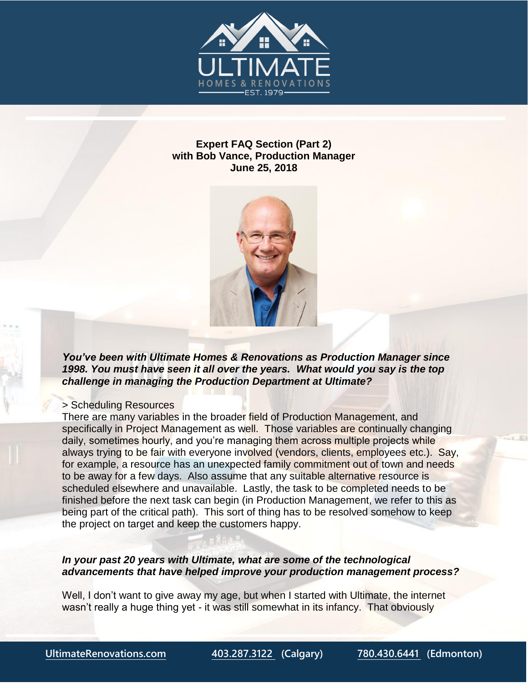

#### **Expert FAQ Section (Part 2) with Bob Vance, Production Manager June 25, 2018**



*You've been with Ultimate Homes & Renovations as Production Manager since 1998. You must have seen it all over the years. What would you say is the top challenge in managing the Production Department at Ultimate?*

#### > Scheduling Resources

There are many variables in the broader field of Production Management, and specifically in Project Management as well. Those variables are continually changing daily, sometimes hourly, and you're managing them across multiple projects while always trying to be fair with everyone involved (vendors, clients, employees etc.). Say, for example, a resource has an unexpected family commitment out of town and needs to be away for a few days. Also assume that any suitable alternative resource is scheduled elsewhere and unavailable. Lastly, the task to be completed needs to be finished before the next task can begin (in Production Management, we refer to this as being part of the critical path). This sort of thing has to be resolved somehow to keep the project on target and keep the customers happy.

#### *In your past 20 years with Ultimate, what are some of the technological advancements that have helped improve your production management process?*

Well, I don't want to give away my age, but when I started with Ultimate, the internet wasn't really a huge thing yet - it was still somewhat in its infancy. That obviously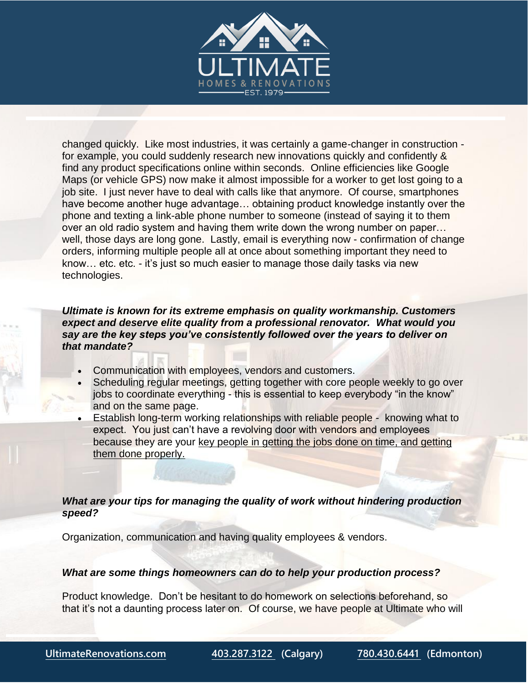

changed quickly. Like most industries, it was certainly a game-changer in construction for example, you could suddenly research new innovations quickly and confidently & find any product specifications online within seconds. Online efficiencies like Google Maps (or vehicle GPS) now make it almost impossible for a worker to get lost going to a job site. I just never have to deal with calls like that anymore. Of course, smartphones have become another huge advantage… obtaining product knowledge instantly over the phone and texting a link-able phone number to someone (instead of saying it to them over an old radio system and having them write down the wrong number on paper… well, those days are long gone. Lastly, email is everything now - confirmation of change orders, informing multiple people all at once about something important they need to know… etc. etc. - it's just so much easier to manage those daily tasks via new technologies.

### *Ultimate is known for its extreme emphasis on quality workmanship. Customers expect and deserve elite quality from a professional renovator. What would you say are the key steps you've consistently followed over the years to deliver on that mandate?*

- Communication with employees, vendors and customers.
- Scheduling regular meetings, getting together with core people weekly to go over jobs to coordinate everything - this is essential to keep everybody "in the know" and on the same page.
- Establish long-term working relationships with reliable people knowing what to expect. You just can't have a revolving door with vendors and employees because they are your key people in getting the jobs done on time, and getting them done properly.

# *What are your tips for managing the quality of work without hindering production speed?*

Organization, communication and having quality employees & vendors.

## *What are some things homeowners can do to help your production process?*

Product knowledge. Don't be hesitant to do homework on selections beforehand, so that it's not a daunting process later on. Of course, we have people at Ultimate who will